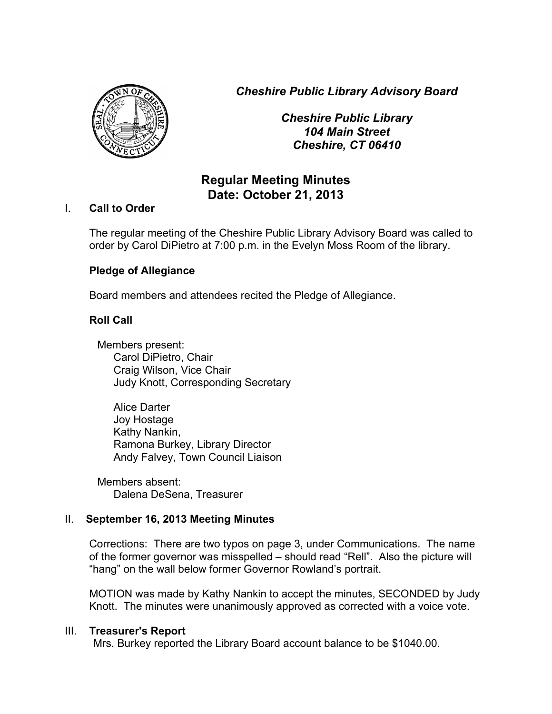*Cheshire Public Library Advisory Board*



*Cheshire Public Library 104 Main Street Cheshire, CT 06410*

# **Regular Meeting Minutes Date: October 21, 2013**

## I. **Call to Order**

The regular meeting of the Cheshire Public Library Advisory Board was called to order by Carol DiPietro at 7:00 p.m. in the Evelyn Moss Room of the library.

# **Pledge of Allegiance**

Board members and attendees recited the Pledge of Allegiance.

# **Roll Call**

Members present: Carol DiPietro, Chair Craig Wilson, Vice Chair Judy Knott, Corresponding Secretary

Alice Darter Joy Hostage Kathy Nankin, Ramona Burkey, Library Director Andy Falvey, Town Council Liaison

Members absent: Dalena DeSena, Treasurer

# II. **September 16, 2013 Meeting Minutes**

Corrections: There are two typos on page 3, under Communications. The name of the former governor was misspelled – should read "Rell". Also the picture will "hang" on the wall below former Governor Rowland's portrait.

MOTION was made by Kathy Nankin to accept the minutes, SECONDED by Judy Knott. The minutes were unanimously approved as corrected with a voice vote.

#### III. **Treasurer's Report**

Mrs. Burkey reported the Library Board account balance to be \$1040.00.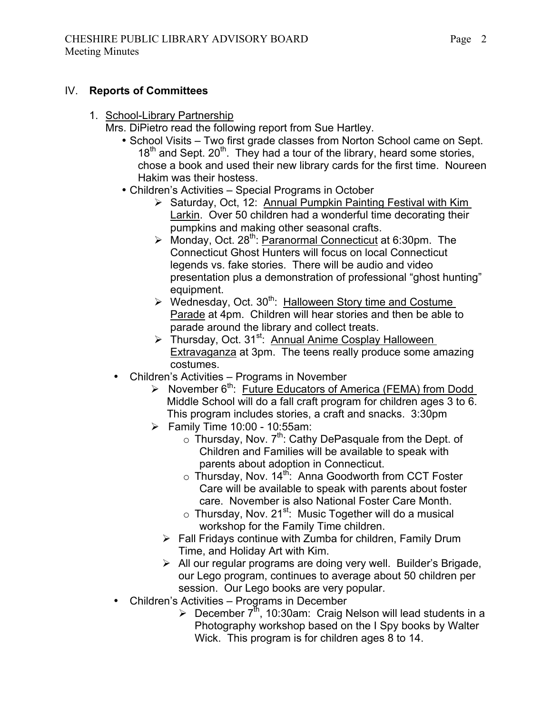### IV. **Reports of Committees**

1. School-Library Partnership

Mrs. DiPietro read the following report from Sue Hartley.

- School Visits Two first grade classes from Norton School came on Sept.  $18<sup>th</sup>$  and Sept. 20<sup>th</sup>. They had a tour of the library, heard some stories, chose a book and used their new library cards for the first time. Noureen Hakim was their hostess.
- Children's Activities Special Programs in October
	- Saturday, Oct, 12: Annual Pumpkin Painting Festival with Kim Larkin. Over 50 children had a wonderful time decorating their pumpkins and making other seasonal crafts.
	- $\triangleright$  Monday, Oct. 28<sup>th</sup>: Paranormal Connecticut at 6:30pm. The Connecticut Ghost Hunters will focus on local Connecticut legends vs. fake stories. There will be audio and video presentation plus a demonstration of professional "ghost hunting" equipment.
	- $\triangleright$  Wednesday, Oct. 30<sup>th</sup>: Halloween Story time and Costume Parade at 4pm. Children will hear stories and then be able to parade around the library and collect treats.
	- $\triangleright$  Thursday, Oct. 31<sup>st</sup>: Annual Anime Cosplay Halloween Extravaganza at 3pm. The teens really produce some amazing costumes.
- Children's Activities Programs in November
	- $\triangleright$  November 6<sup>th</sup>: Future Educators of America (FEMA) from Dodd Middle School will do a fall craft program for children ages 3 to 6. This program includes stories, a craft and snacks. 3:30pm
	- $\triangleright$  Family Time 10:00 10:55am:
		- $\circ$  Thursday, Nov. 7<sup>th</sup>: Cathy DePasquale from the Dept. of Children and Families will be available to speak with parents about adoption in Connecticut.
		- $\circ$  Thursday, Nov. 14<sup>th</sup>: Anna Goodworth from CCT Foster Care will be available to speak with parents about foster care. November is also National Foster Care Month.
		- $\circ$  Thursday, Nov. 21<sup>st</sup>: Music Together will do a musical workshop for the Family Time children.
		- $\triangleright$  Fall Fridays continue with Zumba for children, Family Drum Time, and Holiday Art with Kim.
		- All our regular programs are doing very well. Builder's Brigade, our Lego program, continues to average about 50 children per session. Our Lego books are very popular.
- Children's Activities Programs in December
	- $\triangleright$  December  $7^{\text{th}}$ , 10:30am: Craig Nelson will lead students in a Photography workshop based on the I Spy books by Walter Wick. This program is for children ages 8 to 14.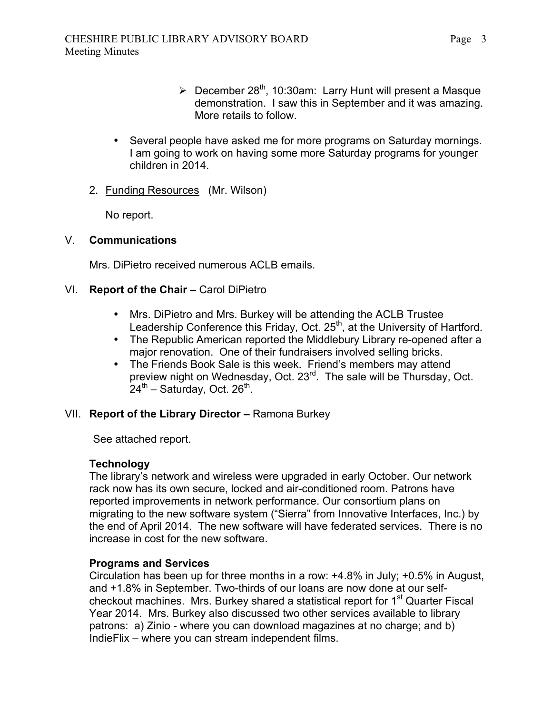- $\geq$  December 28<sup>th</sup>, 10:30am: Larry Hunt will present a Masque demonstration. I saw this in September and it was amazing. More retails to follow.
- Several people have asked me for more programs on Saturday mornings. I am going to work on having some more Saturday programs for younger children in 2014.
- 2. Funding Resources (Mr. Wilson)

No report.

#### V. **Communications**

Mrs. DiPietro received numerous ACLB emails.

## VI. **Report of the Chair –** Carol DiPietro

- Mrs. DiPietro and Mrs. Burkey will be attending the ACLB Trustee Leadership Conference this Friday, Oct.  $25<sup>th</sup>$ , at the University of Hartford.
- The Republic American reported the Middlebury Library re-opened after a major renovation. One of their fundraisers involved selling bricks.
- The Friends Book Sale is this week. Friend's members may attend preview night on Wednesday, Oct. 23<sup>rd</sup>. The sale will be Thursday, Oct.  $24^{th}$  – Saturday, Oct. 26<sup>th</sup>.

#### VII. **Report of the Library Director –** Ramona Burkey

See attached report.

### **Technology**

The library's network and wireless were upgraded in early October. Our network rack now has its own secure, locked and air-conditioned room. Patrons have reported improvements in network performance. Our consortium plans on migrating to the new software system ("Sierra" from Innovative Interfaces, Inc.) by the end of April 2014. The new software will have federated services. There is no increase in cost for the new software.

#### **Programs and Services**

Circulation has been up for three months in a row: +4.8% in July; +0.5% in August, and +1.8% in September. Two-thirds of our loans are now done at our selfcheckout machines. Mrs. Burkey shared a statistical report for  $1<sup>st</sup>$  Quarter Fiscal Year 2014. Mrs. Burkey also discussed two other services available to library patrons: a) Zinio - where you can download magazines at no charge; and b) IndieFlix – where you can stream independent films.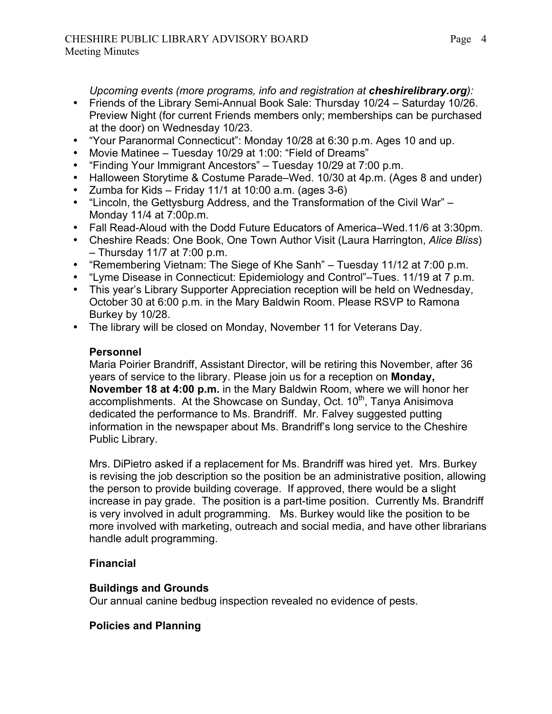*Upcoming events (more programs, info and registration at <i>cheshirelibrary.org*):

- Friends of the Library Semi-Annual Book Sale: Thursday 10/24 Saturday 10/26. Preview Night (for current Friends members only; memberships can be purchased at the door) on Wednesday 10/23.
- "Your Paranormal Connecticut": Monday 10/28 at 6:30 p.m. Ages 10 and up.
- Movie Matinee Tuesday 10/29 at 1:00: "Field of Dreams"
- "Finding Your Immigrant Ancestors" Tuesday 10/29 at 7:00 p.m.
- Halloween Storytime & Costume Parade–Wed. 10/30 at 4p.m. (Ages 8 and under)
- Zumba for Kids Friday 11/1 at 10:00 a.m. (ages  $3-6$ )
- "Lincoln, the Gettysburg Address, and the Transformation of the Civil War" Monday 11/4 at 7:00p.m.
- Fall Read-Aloud with the Dodd Future Educators of America–Wed.11/6 at 3:30pm.
- Cheshire Reads: One Book, One Town Author Visit (Laura Harrington, *Alice Bliss*) – Thursday 11/7 at 7:00 p.m.
- "Remembering Vietnam: The Siege of Khe Sanh" Tuesday 11/12 at 7:00 p.m.
- "Lyme Disease in Connecticut: Epidemiology and Control"–Tues. 11/19 at 7 p.m.
- This year's Library Supporter Appreciation reception will be held on Wednesday, October 30 at 6:00 p.m. in the Mary Baldwin Room. Please RSVP to Ramona Burkey by 10/28.
- The library will be closed on Monday, November 11 for Veterans Day.

## **Personnel**

Maria Poirier Brandriff, Assistant Director, will be retiring this November, after 36 years of service to the library. Please join us for a reception on **Monday, November 18 at 4:00 p.m.** in the Mary Baldwin Room, where we will honor her accomplishments. At the Showcase on Sunday, Oct.  $10<sup>th</sup>$ , Tanya Anisimova dedicated the performance to Ms. Brandriff. Mr. Falvey suggested putting information in the newspaper about Ms. Brandriff's long service to the Cheshire Public Library.

Mrs. DiPietro asked if a replacement for Ms. Brandriff was hired yet. Mrs. Burkey is revising the job description so the position be an administrative position, allowing the person to provide building coverage. If approved, there would be a slight increase in pay grade. The position is a part-time position. Currently Ms. Brandriff is very involved in adult programming. Ms. Burkey would like the position to be more involved with marketing, outreach and social media, and have other librarians handle adult programming.

# **Financial**

#### **Buildings and Grounds**

Our annual canine bedbug inspection revealed no evidence of pests.

#### **Policies and Planning**